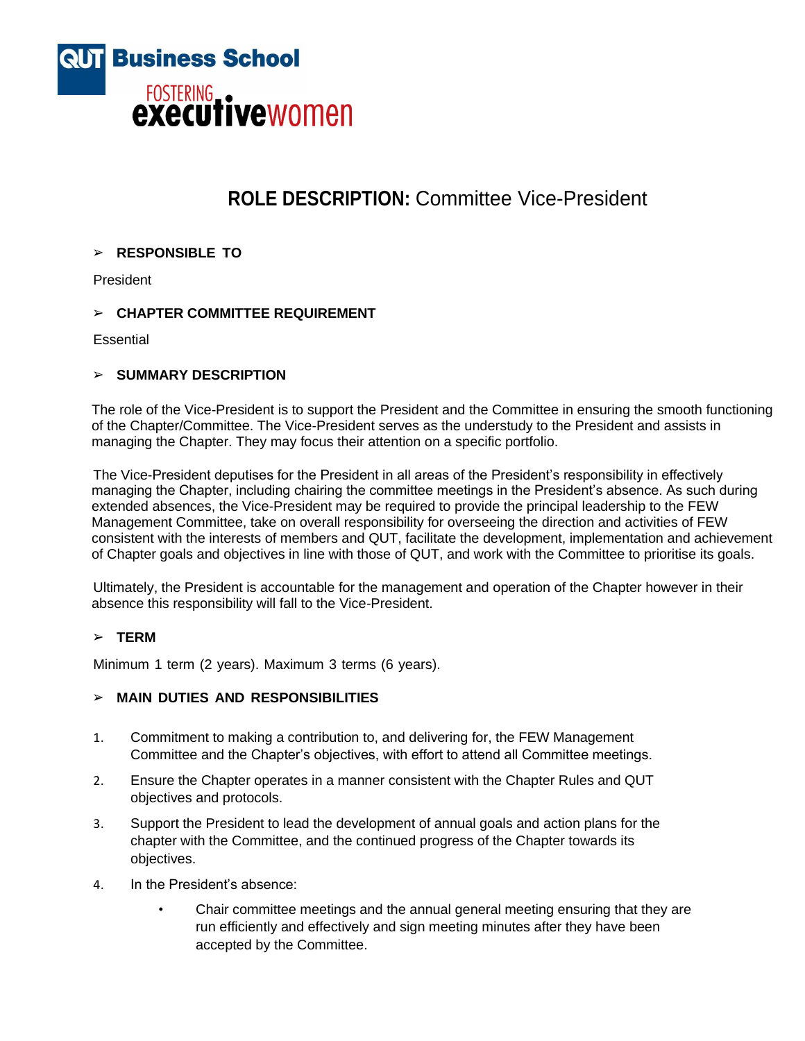

# **ROLE DESCRIPTION:** Committee Vice-President

## ➢ **RESPONSIBLE TO**

President

## ➢ **CHAPTER COMMITTEE REQUIREMENT**

**Essential** 

## ➢ **SUMMARY DESCRIPTION**

The role of the Vice-President is to support the President and the Committee in ensuring the smooth functioning of the Chapter/Committee. The Vice-President serves as the understudy to the President and assists in managing the Chapter. They may focus their attention on a specific portfolio.

The Vice-President deputises for the President in all areas of the President's responsibility in effectively managing the Chapter, including chairing the committee meetings in the President's absence. As such during extended absences, the Vice-President may be required to provide the principal leadership to the FEW Management Committee, take on overall responsibility for overseeing the direction and activities of FEW consistent with the interests of members and QUT, facilitate the development, implementation and achievement of Chapter goals and objectives in line with those of QUT, and work with the Committee to prioritise its goals.

Ultimately, the President is accountable for the management and operation of the Chapter however in their absence this responsibility will fall to the Vice-President.

## ➢ **TERM**

Minimum 1 term (2 years). Maximum 3 terms (6 years).

## ➢ **MAIN DUTIES AND RESPONSIBILITIES**

- 1. Commitment to making a contribution to, and delivering for, the FEW Management Committee and the Chapter's objectives, with effort to attend all Committee meetings.
- 2. Ensure the Chapter operates in a manner consistent with the Chapter Rules and QUT objectives and protocols.
- 3. Support the President to lead the development of annual goals and action plans for the chapter with the Committee, and the continued progress of the Chapter towards its objectives.
- 4. In the President's absence:
	- Chair committee meetings and the annual general meeting ensuring that they are run efficiently and effectively and sign meeting minutes after they have been accepted by the Committee.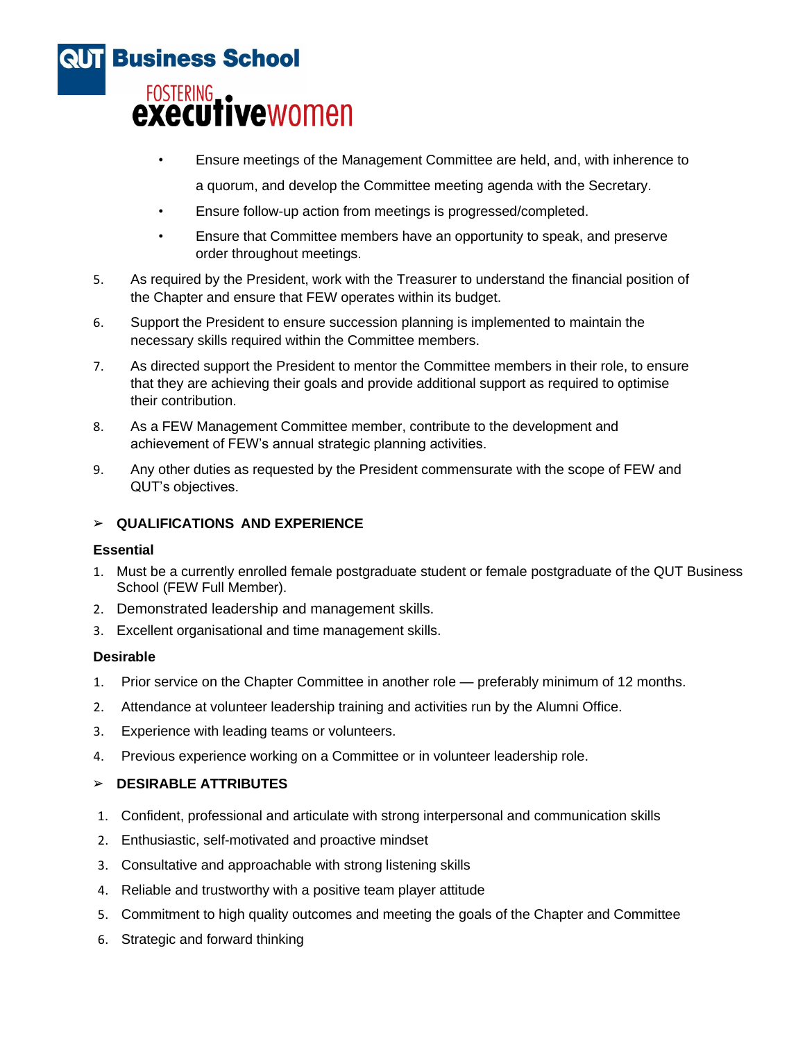

- Ensure meetings of the Management Committee are held, and, with inherence to a quorum, and develop the Committee meeting agenda with the Secretary.
- Ensure follow-up action from meetings is progressed/completed.
- Ensure that Committee members have an opportunity to speak, and preserve order throughout meetings.
- 5. As required by the President, work with the Treasurer to understand the financial position of the Chapter and ensure that FEW operates within its budget.
- 6. Support the President to ensure succession planning is implemented to maintain the necessary skills required within the Committee members.
- 7. As directed support the President to mentor the Committee members in their role, to ensure that they are achieving their goals and provide additional support as required to optimise their contribution.
- 8. As a FEW Management Committee member, contribute to the development and achievement of FEW's annual strategic planning activities.
- 9. Any other duties as requested by the President commensurate with the scope of FEW and QUT's objectives.

## ➢ **QUALIFICATIONS AND EXPERIENCE**

## **Essential**

- 1. Must be a currently enrolled female postgraduate student or female postgraduate of the QUT Business School (FEW Full Member).
- 2. Demonstrated leadership and management skills.
- 3. Excellent organisational and time management skills.

## **Desirable**

- 1. Prior service on the Chapter Committee in another role preferably minimum of 12 months.
- 2. Attendance at volunteer leadership training and activities run by the Alumni Office.
- 3. Experience with leading teams or volunteers.
- 4. Previous experience working on a Committee or in volunteer leadership role.

## ➢ **DESIRABLE ATTRIBUTES**

- 1. Confident, professional and articulate with strong interpersonal and communication skills
- 2. Enthusiastic, self-motivated and proactive mindset
- 3. Consultative and approachable with strong listening skills
- 4. Reliable and trustworthy with a positive team player attitude
- 5. Commitment to high quality outcomes and meeting the goals of the Chapter and Committee
- 6. Strategic and forward thinking